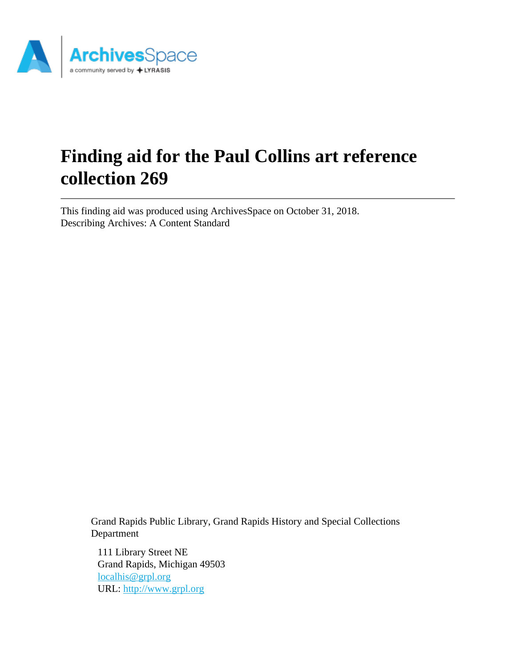

# **Finding aid for the Paul Collins art reference collection 269**

This finding aid was produced using ArchivesSpace on October 31, 2018. Describing Archives: A Content Standard

> Grand Rapids Public Library, Grand Rapids History and Special Collections Department

111 Library Street NE Grand Rapids, Michigan 49503 [localhis@grpl.org](mailto:localhis@grpl.org) URL:<http://www.grpl.org>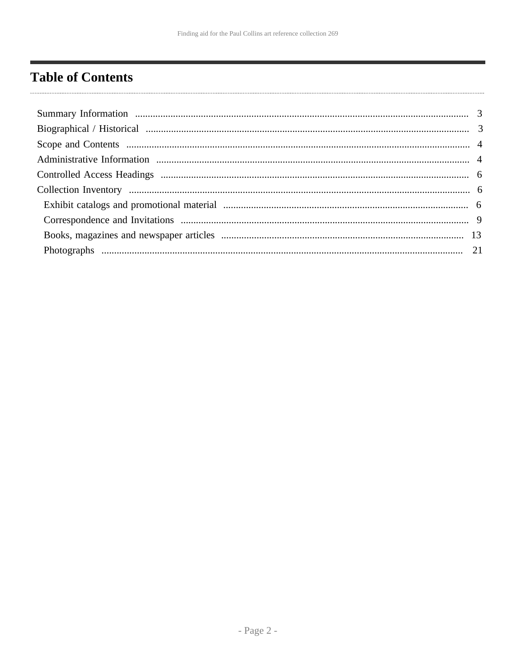# <span id="page-1-0"></span>**Table of Contents**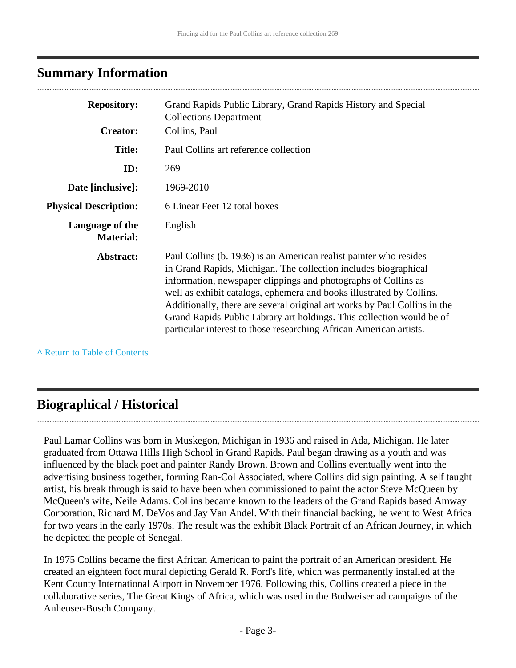### <span id="page-2-0"></span>**Summary Information**

| <b>Repository:</b><br><b>Creator:</b> | Grand Rapids Public Library, Grand Rapids History and Special<br><b>Collections Department</b>                                                                                                                                                                                                                                                                                                                                                                                                             |
|---------------------------------------|------------------------------------------------------------------------------------------------------------------------------------------------------------------------------------------------------------------------------------------------------------------------------------------------------------------------------------------------------------------------------------------------------------------------------------------------------------------------------------------------------------|
|                                       | Collins, Paul                                                                                                                                                                                                                                                                                                                                                                                                                                                                                              |
| <b>Title:</b>                         | Paul Collins art reference collection                                                                                                                                                                                                                                                                                                                                                                                                                                                                      |
| ID:                                   | 269                                                                                                                                                                                                                                                                                                                                                                                                                                                                                                        |
| Date [inclusive]:                     | 1969-2010                                                                                                                                                                                                                                                                                                                                                                                                                                                                                                  |
| <b>Physical Description:</b>          | 6 Linear Feet 12 total boxes                                                                                                                                                                                                                                                                                                                                                                                                                                                                               |
| Language of the<br><b>Material:</b>   | English                                                                                                                                                                                                                                                                                                                                                                                                                                                                                                    |
| Abstract:                             | Paul Collins (b. 1936) is an American realist painter who resides<br>in Grand Rapids, Michigan. The collection includes biographical<br>information, newspaper clippings and photographs of Collins as<br>well as exhibit catalogs, ephemera and books illustrated by Collins.<br>Additionally, there are several original art works by Paul Collins in the<br>Grand Rapids Public Library art holdings. This collection would be of<br>particular interest to those researching African American artists. |

**^** [Return to Table of Contents](#page-1-0)

# <span id="page-2-1"></span>**Biographical / Historical**

Paul Lamar Collins was born in Muskegon, Michigan in 1936 and raised in Ada, Michigan. He later graduated from Ottawa Hills High School in Grand Rapids. Paul began drawing as a youth and was influenced by the black poet and painter Randy Brown. Brown and Collins eventually went into the advertising business together, forming Ran-Col Associated, where Collins did sign painting. A self taught artist, his break through is said to have been when commissioned to paint the actor Steve McQueen by McQueen's wife, Neile Adams. Collins became known to the leaders of the Grand Rapids based Amway Corporation, Richard M. DeVos and Jay Van Andel. With their financial backing, he went to West Africa for two years in the early 1970s. The result was the exhibit Black Portrait of an African Journey, in which he depicted the people of Senegal.

In 1975 Collins became the first African American to paint the portrait of an American president. He created an eighteen foot mural depicting Gerald R. Ford's life, which was permanently installed at the Kent County International Airport in November 1976. Following this, Collins created a piece in the collaborative series, The Great Kings of Africa, which was used in the Budweiser ad campaigns of the Anheuser-Busch Company.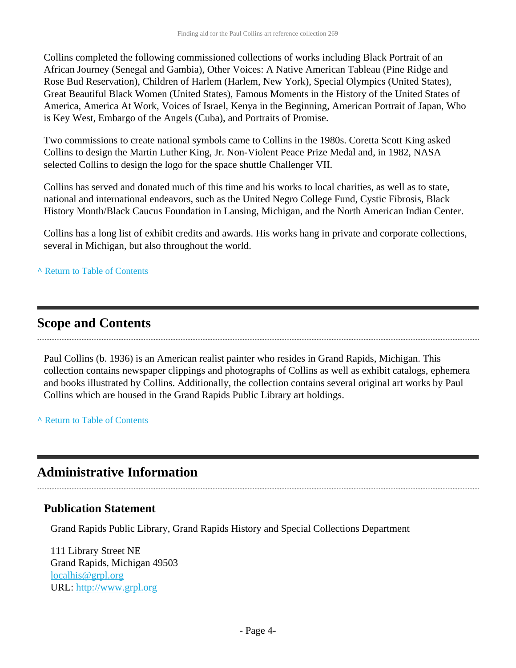Collins completed the following commissioned collections of works including Black Portrait of an African Journey (Senegal and Gambia), Other Voices: A Native American Tableau (Pine Ridge and Rose Bud Reservation), Children of Harlem (Harlem, New York), Special Olympics (United States), Great Beautiful Black Women (United States), Famous Moments in the History of the United States of America, America At Work, Voices of Israel, Kenya in the Beginning, American Portrait of Japan, Who is Key West, Embargo of the Angels (Cuba), and Portraits of Promise.

Two commissions to create national symbols came to Collins in the 1980s. Coretta Scott King asked Collins to design the Martin Luther King, Jr. Non-Violent Peace Prize Medal and, in 1982, NASA selected Collins to design the logo for the space shuttle Challenger VII.

Collins has served and donated much of this time and his works to local charities, as well as to state, national and international endeavors, such as the United Negro College Fund, Cystic Fibrosis, Black History Month/Black Caucus Foundation in Lansing, Michigan, and the North American Indian Center.

Collins has a long list of exhibit credits and awards. His works hang in private and corporate collections, several in Michigan, but also throughout the world.

#### **^** [Return to Table of Contents](#page-1-0)

### <span id="page-3-0"></span>**Scope and Contents**

Paul Collins (b. 1936) is an American realist painter who resides in Grand Rapids, Michigan. This collection contains newspaper clippings and photographs of Collins as well as exhibit catalogs, ephemera and books illustrated by Collins. Additionally, the collection contains several original art works by Paul Collins which are housed in the Grand Rapids Public Library art holdings.

**^** [Return to Table of Contents](#page-1-0)

# <span id="page-3-1"></span>**Administrative Information**

#### **Publication Statement**

Grand Rapids Public Library, Grand Rapids History and Special Collections Department

111 Library Street NE Grand Rapids, Michigan 49503 [localhis@grpl.org](mailto:localhis@grpl.org) URL:<http://www.grpl.org>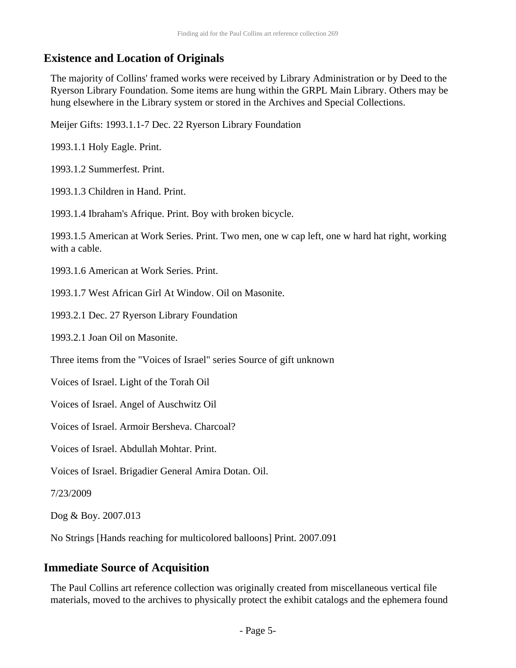### **Existence and Location of Originals**

The majority of Collins' framed works were received by Library Administration or by Deed to the Ryerson Library Foundation. Some items are hung within the GRPL Main Library. Others may be hung elsewhere in the Library system or stored in the Archives and Special Collections.

Meijer Gifts: 1993.1.1-7 Dec. 22 Ryerson Library Foundation

1993.1.1 Holy Eagle. Print.

1993.1.2 Summerfest. Print.

1993.1.3 Children in Hand. Print.

1993.1.4 Ibraham's Afrique. Print. Boy with broken bicycle.

1993.1.5 American at Work Series. Print. Two men, one w cap left, one w hard hat right, working with a cable.

1993.1.6 American at Work Series. Print.

1993.1.7 West African Girl At Window. Oil on Masonite.

1993.2.1 Dec. 27 Ryerson Library Foundation

1993.2.1 Joan Oil on Masonite.

Three items from the "Voices of Israel" series Source of gift unknown

Voices of Israel. Light of the Torah Oil

Voices of Israel. Angel of Auschwitz Oil

Voices of Israel. Armoir Bersheva. Charcoal?

Voices of Israel. Abdullah Mohtar. Print.

Voices of Israel. Brigadier General Amira Dotan. Oil.

7/23/2009

Dog & Boy. 2007.013

No Strings [Hands reaching for multicolored balloons] Print. 2007.091

### **Immediate Source of Acquisition**

The Paul Collins art reference collection was originally created from miscellaneous vertical file materials, moved to the archives to physically protect the exhibit catalogs and the ephemera found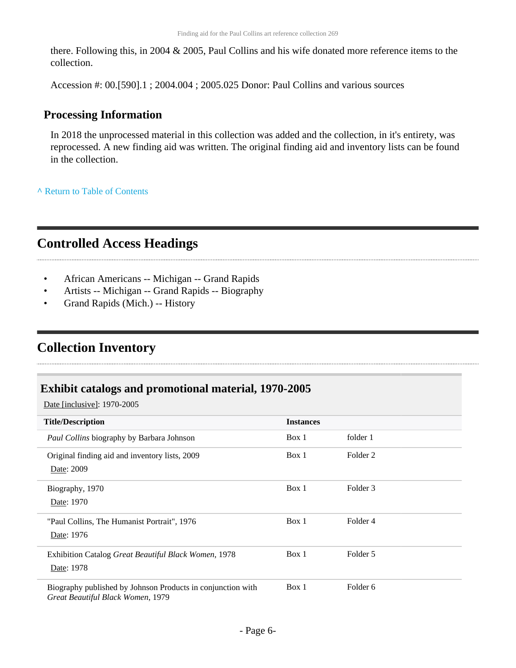there. Following this, in 2004 & 2005, Paul Collins and his wife donated more reference items to the collection.

Accession #: 00.[590].1 ; 2004.004 ; 2005.025 Donor: Paul Collins and various sources

### **Processing Information**

In 2018 the unprocessed material in this collection was added and the collection, in it's entirety, was reprocessed. A new finding aid was written. The original finding aid and inventory lists can be found in the collection.

**^** [Return to Table of Contents](#page-1-0)

# <span id="page-5-0"></span>**Controlled Access Headings**

- African Americans -- Michigan -- Grand Rapids
- Artists -- Michigan -- Grand Rapids -- Biography
- Grand Rapids (Mich.) -- History

# <span id="page-5-1"></span>**Collection Inventory**

### <span id="page-5-2"></span>**Exhibit catalogs and promotional material, 1970-2005**

Date [inclusive]: 1970-2005

| <b>Title/Description</b>                                                                         | <b>Instances</b> |          |
|--------------------------------------------------------------------------------------------------|------------------|----------|
| Paul Collins biography by Barbara Johnson                                                        | Box 1            | folder 1 |
| Original finding aid and inventory lists, 2009<br>Date: 2009                                     | Box 1            | Folder 2 |
| Biography, 1970<br>Date: 1970                                                                    | Box 1            | Folder 3 |
| "Paul Collins, The Humanist Portrait", 1976<br>Date: 1976                                        | Box 1            | Folder 4 |
| Exhibition Catalog Great Beautiful Black Women, 1978<br>Date: 1978                               | Box 1            | Folder 5 |
| Biography published by Johnson Products in conjunction with<br>Great Beautiful Black Women, 1979 | Box 1            | Folder 6 |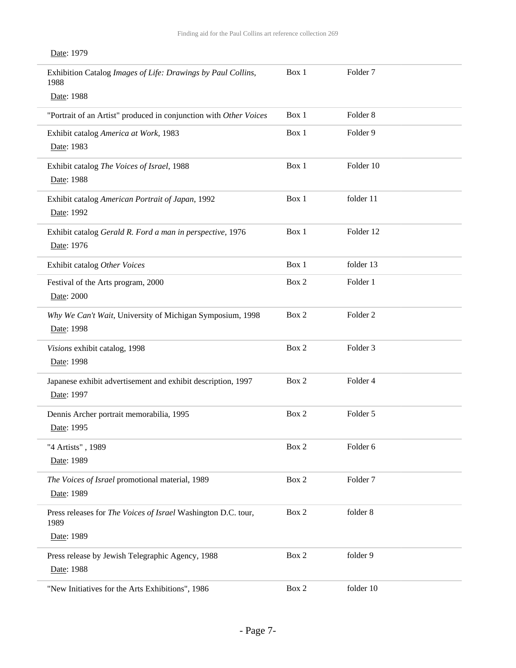| Exhibition Catalog Images of Life: Drawings by Paul Collins,<br>1988       | Box 1 | Folder <sub>7</sub> |
|----------------------------------------------------------------------------|-------|---------------------|
| Date: 1988                                                                 |       |                     |
| "Portrait of an Artist" produced in conjunction with Other Voices          | Box 1 | Folder <sub>8</sub> |
| Exhibit catalog America at Work, 1983<br>Date: 1983                        | Box 1 | Folder 9            |
| Exhibit catalog The Voices of Israel, 1988<br>Date: 1988                   | Box 1 | Folder 10           |
| Exhibit catalog American Portrait of Japan, 1992<br>Date: 1992             | Box 1 | folder 11           |
| Exhibit catalog Gerald R. Ford a man in perspective, 1976<br>Date: 1976    | Box 1 | Folder 12           |
| Exhibit catalog Other Voices                                               | Box 1 | folder 13           |
| Festival of the Arts program, 2000<br>Date: 2000                           | Box 2 | Folder 1            |
| Why We Can't Wait, University of Michigan Symposium, 1998<br>Date: 1998    | Box 2 | Folder <sub>2</sub> |
| Visions exhibit catalog, 1998<br>Date: 1998                                | Box 2 | Folder <sub>3</sub> |
| Japanese exhibit advertisement and exhibit description, 1997<br>Date: 1997 | Box 2 | Folder 4            |
| Dennis Archer portrait memorabilia, 1995<br>Date: 1995                     | Box 2 | Folder 5            |
| "4 Artists", 1989<br>Date: 1989                                            | Box 2 | Folder 6            |
| The Voices of Israel promotional material, 1989<br>Date: 1989              | Box 2 | Folder <sub>7</sub> |
| Press releases for The Voices of Israel Washington D.C. tour,<br>1989      | Box 2 | folder 8            |
| Date: 1989                                                                 |       |                     |
| Press release by Jewish Telegraphic Agency, 1988<br>Date: 1988             | Box 2 | folder 9            |
| "New Initiatives for the Arts Exhibitions", 1986                           | Box 2 | folder 10           |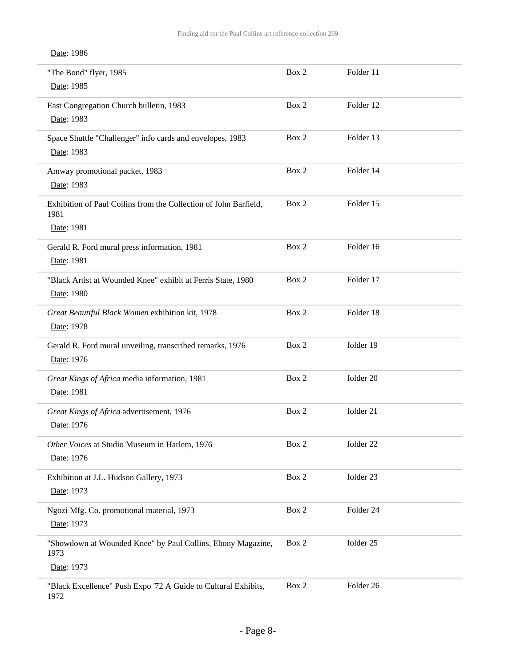| "The Bond" flyer, 1985<br>Date: 1985                                                   | Box 2 | Folder 11 |
|----------------------------------------------------------------------------------------|-------|-----------|
| East Congregation Church bulletin, 1983<br>Date: 1983                                  | Box 2 | Folder 12 |
| Space Shuttle "Challenger" info cards and envelopes, 1983<br>Date: 1983                | Box 2 | Folder 13 |
| Amway promotional packet, 1983<br>Date: 1983                                           | Box 2 | Folder 14 |
| Exhibition of Paul Collins from the Collection of John Barfield,<br>1981<br>Date: 1981 | Box 2 | Folder 15 |
| Gerald R. Ford mural press information, 1981<br>Date: 1981                             | Box 2 | Folder 16 |
| "Black Artist at Wounded Knee" exhibit at Ferris State, 1980<br>Date: 1980             | Box 2 | Folder 17 |
| Great Beautiful Black Women exhibition kit, 1978<br>Date: 1978                         | Box 2 | Folder 18 |
| Gerald R. Ford mural unveiling, transcribed remarks, 1976<br>Date: 1976                | Box 2 | folder 19 |
| Great Kings of Africa media information, 1981<br>Date: 1981                            | Box 2 | folder 20 |
| Great Kings of Africa advertisement, 1976<br>Date: 1976                                | Box 2 | folder 21 |
| Other Voices at Studio Museum in Harlem, 1976<br>Date: 1976                            | Box 2 | folder 22 |
| Exhibition at J.L. Hudson Gallery, 1973<br>Date: 1973                                  | Box 2 | folder 23 |
| Ngozi Mfg. Co. promotional material, 1973<br>Date: 1973                                | Box 2 | Folder 24 |
| "Showdown at Wounded Knee" by Paul Collins, Ebony Magazine,<br>1973<br>Date: 1973      | Box 2 | folder 25 |
| "Black Excellence" Push Expo '72 A Guide to Cultural Exhibits,<br>1972                 | Box 2 | Folder 26 |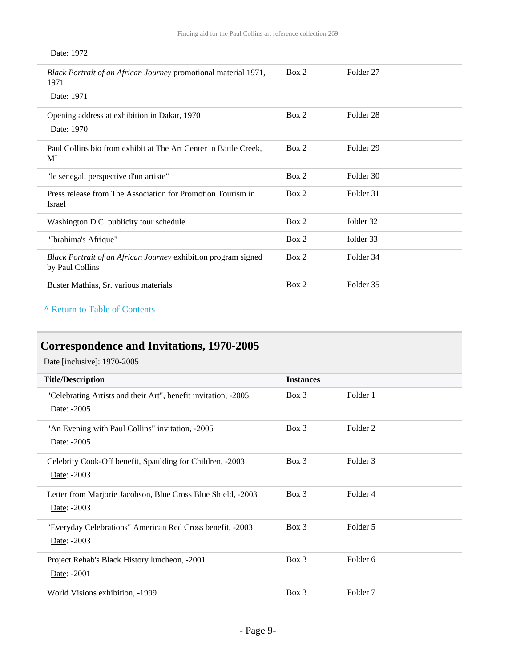| Black Portrait of an African Journey promotional material 1971,<br>1971<br>Date: 1971 | Box 2 | Folder 27            |
|---------------------------------------------------------------------------------------|-------|----------------------|
|                                                                                       |       |                      |
| Opening address at exhibition in Dakar, 1970                                          | Box 2 | Folder <sub>28</sub> |
| Date: 1970                                                                            |       |                      |
| Paul Collins bio from exhibit at The Art Center in Battle Creek,<br>МI                | Box 2 | Folder 29            |
| "le senegal, perspective d'un artiste"                                                | Box 2 | Folder 30            |
| Press release from The Association for Promotion Tourism in<br>Israel                 | Box 2 | Folder 31            |
| Washington D.C. publicity tour schedule                                               | Box 2 | folder 32            |
| "Ibrahima's Afrique"                                                                  | Box 2 | folder 33            |
| Black Portrait of an African Journey exhibition program signed<br>by Paul Collins     | Box 2 | Folder 34            |
| Buster Mathias, Sr. various materials                                                 | Box 2 | Folder 35            |
|                                                                                       |       |                      |

#### **^** [Return to Table of Contents](#page-1-0)

# <span id="page-8-0"></span>**Correspondence and Invitations, 1970-2005**

Date [inclusive]: 1970-2005

| <b>Title/Description</b>                                                      | <b>Instances</b> |                     |
|-------------------------------------------------------------------------------|------------------|---------------------|
| "Celebrating Artists and their Art", benefit invitation, -2005<br>Date: -2005 | $Box\ 3$         | Folder 1            |
| "An Evening with Paul Collins" invitation, -2005<br>Date: -2005               | $Box$ 3          | Folder <sub>2</sub> |
| Celebrity Cook-Off benefit, Spaulding for Children, -2003<br>Date: -2003      | $Box\ 3$         | Folder 3            |
| Letter from Marjorie Jacobson, Blue Cross Blue Shield, -2003<br>Date: -2003   | $Box\ 3$         | Folder <sub>4</sub> |
| "Everyday Celebrations" American Red Cross benefit, -2003<br>Date: -2003      | $Box\ 3$         | Folder 5            |
| Project Rehab's Black History luncheon, -2001<br>Date: -2001                  | $Box$ 3          | Folder <sub>6</sub> |
| World Visions exhibition, -1999                                               | Box 3            | Folder <sub>7</sub> |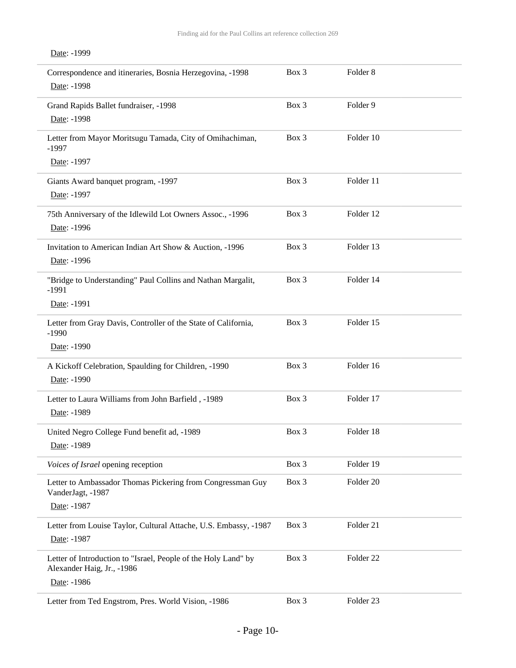| Correspondence and itineraries, Bosnia Herzegovina, -1998<br>Date: -1998                                    | Box 3 | Folder <sub>8</sub>  |
|-------------------------------------------------------------------------------------------------------------|-------|----------------------|
| Grand Rapids Ballet fundraiser, -1998<br>Date: -1998                                                        | Box 3 | Folder 9             |
| Letter from Mayor Moritsugu Tamada, City of Omihachiman,<br>$-1997$                                         | Box 3 | Folder 10            |
| Date: -1997                                                                                                 |       |                      |
| Giants Award banquet program, -1997<br>Date: -1997                                                          | Box 3 | Folder 11            |
| 75th Anniversary of the Idlewild Lot Owners Assoc., -1996<br>Date: -1996                                    | Box 3 | Folder 12            |
| Invitation to American Indian Art Show & Auction, -1996<br>Date: -1996                                      | Box 3 | Folder 13            |
| "Bridge to Understanding" Paul Collins and Nathan Margalit,<br>$-1991$                                      | Box 3 | Folder 14            |
| Date: -1991                                                                                                 |       |                      |
| Letter from Gray Davis, Controller of the State of California,<br>$-1990$                                   | Box 3 | Folder 15            |
| Date: -1990                                                                                                 |       |                      |
| A Kickoff Celebration, Spaulding for Children, -1990<br>Date: -1990                                         | Box 3 | Folder 16            |
| Letter to Laura Williams from John Barfield, -1989<br>Date: -1989                                           | Box 3 | Folder 17            |
| United Negro College Fund benefit ad, -1989<br>Date: -1989                                                  | Box 3 | Folder 18            |
| Voices of Israel opening reception                                                                          | Box 3 | Folder 19            |
| Letter to Ambassador Thomas Pickering from Congressman Guy<br>VanderJagt, -1987                             | Box 3 | Folder 20            |
| Date: -1987                                                                                                 |       |                      |
| Letter from Louise Taylor, Cultural Attache, U.S. Embassy, -1987<br>Date: -1987                             | Box 3 | Folder 21            |
| Letter of Introduction to "Israel, People of the Holy Land" by<br>Alexander Haig, Jr., -1986<br>Date: -1986 | Box 3 | Folder 22            |
| Letter from Ted Engstrom, Pres. World Vision, -1986                                                         | Box 3 | Folder <sub>23</sub> |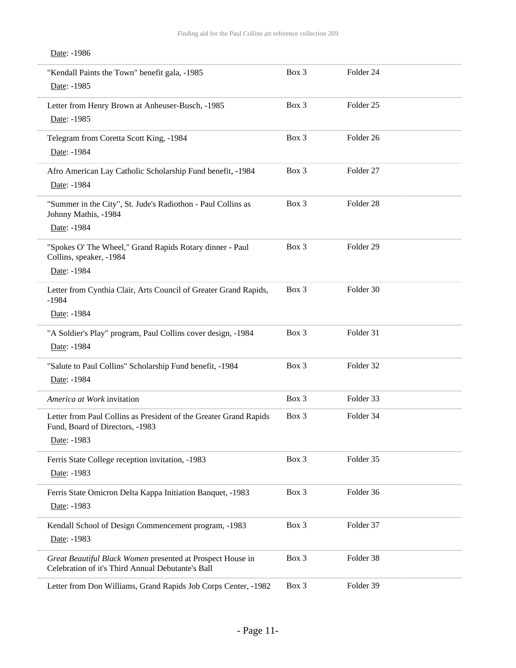#### Date: -1986

| "Kendall Paints the Town" benefit gala, -1985<br>Date: -1985                                                        | Box 3 | Folder <sub>24</sub> |  |
|---------------------------------------------------------------------------------------------------------------------|-------|----------------------|--|
| Letter from Henry Brown at Anheuser-Busch, -1985<br>Date: -1985                                                     | Box 3 | Folder <sub>25</sub> |  |
| Telegram from Coretta Scott King, -1984<br>Date: -1984                                                              | Box 3 | Folder 26            |  |
| Afro American Lay Catholic Scholarship Fund benefit, -1984<br>Date: -1984                                           | Box 3 | Folder 27            |  |
| "Summer in the City", St. Jude's Radiothon - Paul Collins as<br>Johnny Mathis, -1984<br>Date: -1984                 | Box 3 | Folder 28            |  |
| "Spokes O' The Wheel," Grand Rapids Rotary dinner - Paul<br>Collins, speaker, -1984<br>Date: -1984                  | Box 3 | Folder <sub>29</sub> |  |
| Letter from Cynthia Clair, Arts Council of Greater Grand Rapids,<br>$-1984$<br>Date: -1984                          | Box 3 | Folder 30            |  |
| "A Soldier's Play" program, Paul Collins cover design, -1984<br>Date: -1984                                         | Box 3 | Folder 31            |  |
| "Salute to Paul Collins" Scholarship Fund benefit, -1984<br>Date: -1984                                             | Box 3 | Folder 32            |  |
| America at Work invitation                                                                                          | Box 3 | Folder 33            |  |
| Letter from Paul Collins as President of the Greater Grand Rapids<br>Fund, Board of Directors, -1983<br>Date: -1983 | Box 3 | Folder 34            |  |
| Ferris State College reception invitation, -1983<br>Date: -1983                                                     | Box 3 | Folder 35            |  |
| Ferris State Omicron Delta Kappa Initiation Banquet, -1983<br>Date: -1983                                           | Box 3 | Folder 36            |  |
| Kendall School of Design Commencement program, -1983<br>Date: -1983                                                 | Box 3 | Folder 37            |  |
| Great Beautiful Black Women presented at Prospect House in<br>Celebration of it's Third Annual Debutante's Ball     | Box 3 | Folder 38            |  |
| Letter from Don Williams, Grand Rapids Job Corps Center, -1982                                                      | Box 3 | Folder 39            |  |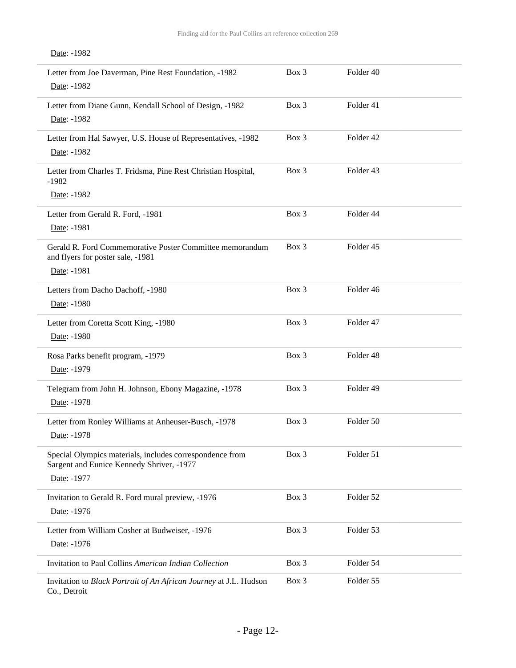#### Date: -1982

| Letter from Joe Daverman, Pine Rest Foundation, -1982<br>Date: -1982                                                 | Box 3 | Folder 40 |  |
|----------------------------------------------------------------------------------------------------------------------|-------|-----------|--|
| Letter from Diane Gunn, Kendall School of Design, -1982<br>Date: -1982                                               | Box 3 | Folder 41 |  |
| Letter from Hal Sawyer, U.S. House of Representatives, -1982<br>Date: -1982                                          | Box 3 | Folder 42 |  |
| Letter from Charles T. Fridsma, Pine Rest Christian Hospital,<br>$-1982$                                             | Box 3 | Folder 43 |  |
| Date: -1982                                                                                                          |       |           |  |
| Letter from Gerald R. Ford, -1981<br>Date: -1981                                                                     | Box 3 | Folder 44 |  |
| Gerald R. Ford Commemorative Poster Committee memorandum<br>and flyers for poster sale, -1981                        | Box 3 | Folder 45 |  |
| Date: -1981                                                                                                          |       |           |  |
| Letters from Dacho Dachoff, -1980<br>Date: -1980                                                                     | Box 3 | Folder 46 |  |
| Letter from Coretta Scott King, -1980<br>Date: -1980                                                                 | Box 3 | Folder 47 |  |
| Rosa Parks benefit program, -1979<br>Date: -1979                                                                     | Box 3 | Folder 48 |  |
| Telegram from John H. Johnson, Ebony Magazine, -1978<br>Date: -1978                                                  | Box 3 | Folder 49 |  |
| Letter from Ronley Williams at Anheuser-Busch, -1978<br>Date: -1978                                                  | Box 3 | Folder 50 |  |
| Special Olympics materials, includes correspondence from<br>Sargent and Eunice Kennedy Shriver, -1977<br>Date: -1977 | Box 3 | Folder 51 |  |
| Invitation to Gerald R. Ford mural preview, -1976<br>Date: -1976                                                     | Box 3 | Folder 52 |  |
| Letter from William Cosher at Budweiser, -1976<br>Date: -1976                                                        | Box 3 | Folder 53 |  |
| Invitation to Paul Collins American Indian Collection                                                                | Box 3 | Folder 54 |  |
| Invitation to Black Portrait of An African Journey at J.L. Hudson<br>Co., Detroit                                    | Box 3 | Folder 55 |  |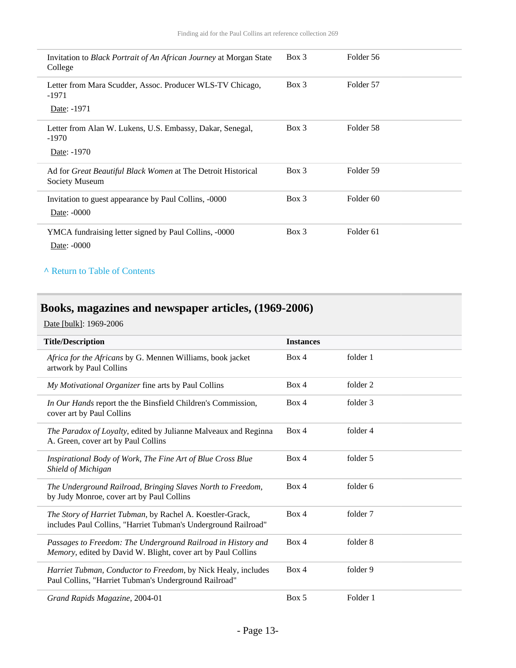| Invitation to <i>Black Portrait of An African Journey</i> at Morgan State<br>College  | $Box\ 3$ | Folder 56            |
|---------------------------------------------------------------------------------------|----------|----------------------|
| Letter from Mara Scudder, Assoc. Producer WLS-TV Chicago,<br>$-1971$                  | $Box$ 3  | Folder 57            |
| Date: -1971                                                                           |          |                      |
| Letter from Alan W. Lukens, U.S. Embassy, Dakar, Senegal,<br>$-1970$                  | $Box\ 3$ | Folder 58            |
| Date: -1970                                                                           |          |                      |
| Ad for <i>Great Beautiful Black Women</i> at The Detroit Historical<br>Society Museum | $Box\ 3$ | Folder 59            |
| Invitation to guest appearance by Paul Collins, -0000<br>Date: -0000                  | Box 3    | Folder <sub>60</sub> |
| YMCA fundraising letter signed by Paul Collins, -0000<br>Date: -0000                  | $Box$ 3  | Folder <sub>61</sub> |

#### **^** [Return to Table of Contents](#page-1-0)

# <span id="page-12-0"></span>**Books, magazines and newspaper articles, (1969-2006)**

Date [bulk]: 1969-2006

| <b>Title/Description</b>                                                                                                     | <b>Instances</b> |          |
|------------------------------------------------------------------------------------------------------------------------------|------------------|----------|
| Africa for the Africans by G. Mennen Williams, book jacket<br>artwork by Paul Collins                                        | Box 4            | folder 1 |
| My Motivational Organizer fine arts by Paul Collins                                                                          | Box 4            | folder 2 |
| In Our Hands report the the Binsfield Children's Commission,<br>cover art by Paul Collins                                    | Box 4            | folder 3 |
| The Paradox of Loyalty, edited by Julianne Malveaux and Reginna<br>A. Green, cover art by Paul Collins                       | Box 4            | folder 4 |
| Inspirational Body of Work, The Fine Art of Blue Cross Blue<br>Shield of Michigan                                            | Box 4            | folder 5 |
| The Underground Railroad, Bringing Slaves North to Freedom,<br>by Judy Monroe, cover art by Paul Collins                     | Box 4            | folder 6 |
| The Story of Harriet Tubman, by Rachel A. Koestler-Grack,<br>includes Paul Collins, "Harriet Tubman's Underground Railroad"  | Box 4            | folder 7 |
| Passages to Freedom: The Underground Railroad in History and<br>Memory, edited by David W. Blight, cover art by Paul Collins | Box 4            | folder 8 |
| Harriet Tubman, Conductor to Freedom, by Nick Healy, includes<br>Paul Collins, "Harriet Tubman's Underground Railroad"       | Box 4            | folder 9 |
| Grand Rapids Magazine, 2004-01                                                                                               | Box 5            | Folder 1 |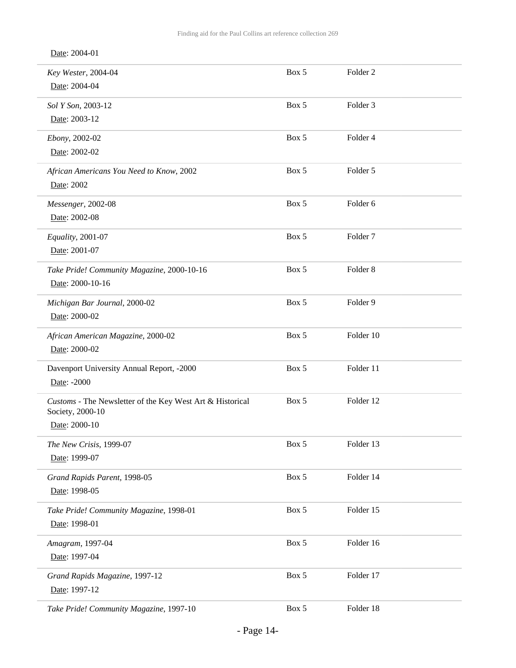Date: 2004-01

| Key Wester, 2004-04                                       | Box 5 | Folder <sub>2</sub> |  |
|-----------------------------------------------------------|-------|---------------------|--|
| Date: 2004-04                                             |       |                     |  |
| Sol Y Son, 2003-12                                        | Box 5 | Folder 3            |  |
| Date: 2003-12                                             |       |                     |  |
| Ebony, 2002-02                                            | Box 5 | Folder 4            |  |
| Date: 2002-02                                             |       |                     |  |
| African Americans You Need to Know, 2002                  | Box 5 | Folder 5            |  |
| Date: 2002                                                |       |                     |  |
| Messenger, 2002-08                                        | Box 5 | Folder 6            |  |
| Date: 2002-08                                             |       |                     |  |
| Equality, 2001-07                                         | Box 5 | Folder <sub>7</sub> |  |
| Date: 2001-07                                             |       |                     |  |
| Take Pride! Community Magazine, 2000-10-16                | Box 5 | Folder <sub>8</sub> |  |
| Date: 2000-10-16                                          |       |                     |  |
| Michigan Bar Journal, 2000-02                             | Box 5 | Folder 9            |  |
| Date: 2000-02                                             |       |                     |  |
| African American Magazine, 2000-02                        | Box 5 | Folder 10           |  |
| Date: 2000-02                                             |       |                     |  |
| Davenport University Annual Report, -2000                 | Box 5 | Folder 11           |  |
| Date: -2000                                               |       |                     |  |
| Customs - The Newsletter of the Key West Art & Historical | Box 5 | Folder 12           |  |
| Society, 2000-10<br>Date: 2000-10                         |       |                     |  |
|                                                           |       |                     |  |
| The New Crisis, 1999-07<br>Date: 1999-07                  | Box 5 | Folder 13           |  |
|                                                           |       |                     |  |
| Grand Rapids Parent, 1998-05<br>Date: 1998-05             | Box 5 | Folder 14           |  |
|                                                           |       |                     |  |
| Take Pride! Community Magazine, 1998-01<br>Date: 1998-01  | Box 5 | Folder 15           |  |
|                                                           |       |                     |  |
| Amagram, 1997-04<br>Date: 1997-04                         | Box 5 | Folder 16           |  |
|                                                           |       |                     |  |
| Grand Rapids Magazine, 1997-12<br>Date: 1997-12           | Box 5 | Folder 17           |  |
|                                                           |       |                     |  |
| Take Pride! Community Magazine, 1997-10                   | Box 5 | Folder 18           |  |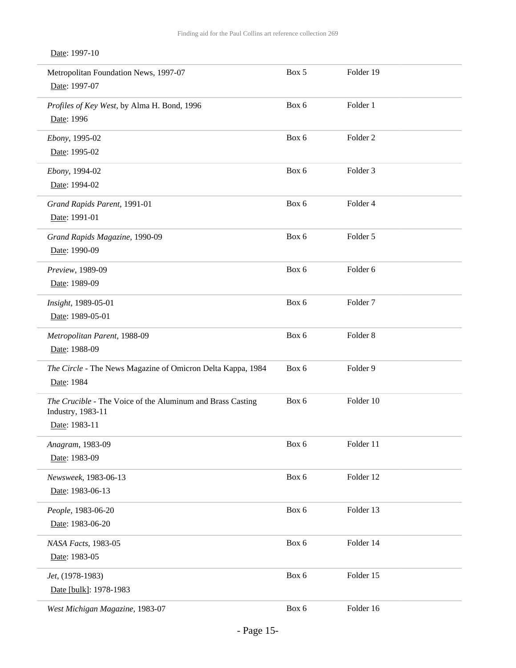| Metropolitan Foundation News, 1997-07<br>Date: 1997-07                                           | Box 5 | Folder 19           |
|--------------------------------------------------------------------------------------------------|-------|---------------------|
| Profiles of Key West, by Alma H. Bond, 1996<br>Date: 1996                                        | Box 6 | Folder 1            |
| Ebony, 1995-02<br>Date: 1995-02                                                                  | Box 6 | Folder <sub>2</sub> |
| Ebony, 1994-02<br>Date: 1994-02                                                                  | Box 6 | Folder 3            |
| Grand Rapids Parent, 1991-01<br>Date: 1991-01                                                    | Box 6 | Folder 4            |
| Grand Rapids Magazine, 1990-09<br>Date: 1990-09                                                  | Box 6 | Folder 5            |
| Preview, 1989-09<br>Date: 1989-09                                                                | Box 6 | Folder 6            |
| Insight, 1989-05-01<br>Date: 1989-05-01                                                          | Box 6 | Folder <sub>7</sub> |
| Metropolitan Parent, 1988-09<br>Date: 1988-09                                                    | Box 6 | Folder 8            |
| The Circle - The News Magazine of Omicron Delta Kappa, 1984<br>Date: 1984                        | Box 6 | Folder 9            |
| The Crucible - The Voice of the Aluminum and Brass Casting<br>Industry, 1983-11<br>Date: 1983-11 | Box 6 | Folder 10           |
| Anagram, 1983-09<br>Date: 1983-09                                                                | Box 6 | Folder 11           |
| Newsweek, 1983-06-13<br>Date: 1983-06-13                                                         | Box 6 | Folder 12           |
| People, 1983-06-20<br>Date: 1983-06-20                                                           | Box 6 | Folder 13           |
| NASA Facts, 1983-05<br>Date: 1983-05                                                             | Box 6 | Folder 14           |
| Jet, (1978-1983)<br>Date [bulk]: 1978-1983                                                       | Box 6 | Folder 15           |
| West Michigan Magazine, 1983-07                                                                  | Box 6 | Folder 16           |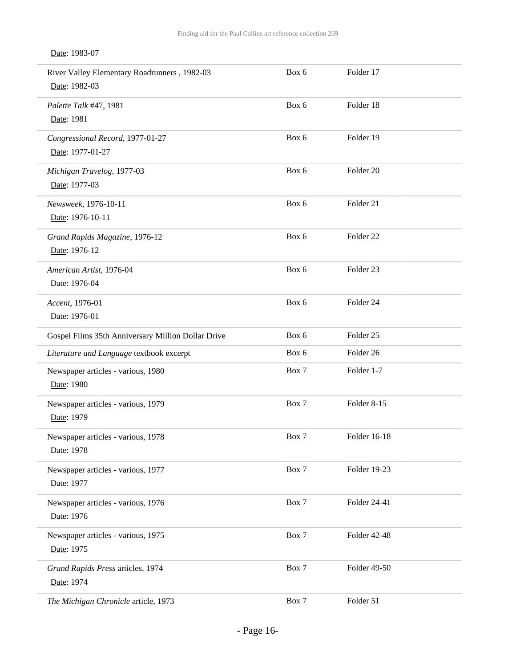### Date: 1983-07

| River Valley Elementary Roadrunners, 1982-03<br>Date: 1982-03 | Box 6 | Folder 17            |  |
|---------------------------------------------------------------|-------|----------------------|--|
| Palette Talk #47, 1981<br>Date: 1981                          | Box 6 | Folder 18            |  |
| Congressional Record, 1977-01-27<br>Date: 1977-01-27          | Box 6 | Folder 19            |  |
| Michigan Travelog, 1977-03<br>Date: 1977-03                   | Box 6 | Folder 20            |  |
| Newsweek, 1976-10-11<br>Date: 1976-10-11                      | Box 6 | Folder 21            |  |
| Grand Rapids Magazine, 1976-12<br>Date: 1976-12               | Box 6 | Folder <sub>22</sub> |  |
| American Artist, 1976-04<br>Date: 1976-04                     | Box 6 | Folder 23            |  |
| Accent, 1976-01<br>Date: 1976-01                              | Box 6 | Folder 24            |  |
| Gospel Films 35th Anniversary Million Dollar Drive            | Box 6 | Folder <sub>25</sub> |  |
| Literature and Language textbook excerpt                      | Box 6 | Folder 26            |  |
| Newspaper articles - various, 1980<br>Date: 1980              | Box 7 | Folder 1-7           |  |
| Newspaper articles - various, 1979<br>Date: 1979              | Box 7 | Folder 8-15          |  |
| Newspaper articles - various, 1978<br>Date: 1978              | Box 7 | Folder 16-18         |  |
| Newspaper articles - various, 1977<br>Date: 1977              | Box 7 | Folder 19-23         |  |
| Newspaper articles - various, 1976<br>Date: 1976              | Box 7 | Folder 24-41         |  |
| Newspaper articles - various, 1975<br>Date: 1975              | Box 7 | Folder 42-48         |  |
| Grand Rapids Press articles, 1974<br>Date: 1974               | Box 7 | Folder 49-50         |  |
| The Michigan Chronicle article, 1973                          | Box 7 | Folder 51            |  |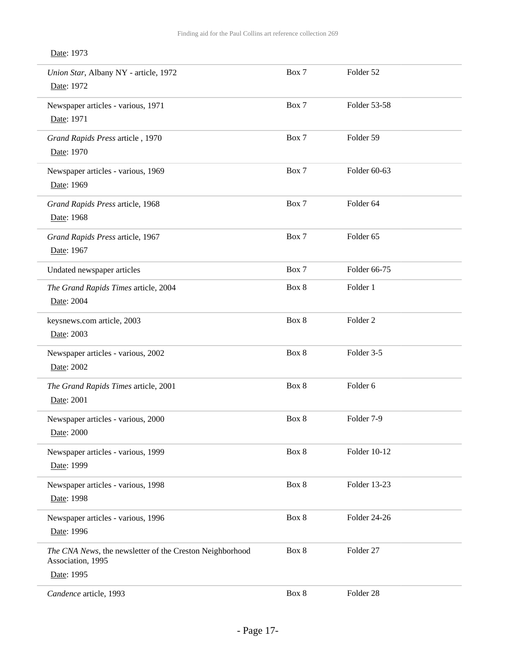| Union Star, Albany NY - article, 1972<br>Date: 1972                                         | Box 7 | Folder 52           |  |
|---------------------------------------------------------------------------------------------|-------|---------------------|--|
| Newspaper articles - various, 1971<br>Date: 1971                                            | Box 7 | Folder 53-58        |  |
| Grand Rapids Press article, 1970<br>Date: 1970                                              | Box 7 | Folder 59           |  |
| Newspaper articles - various, 1969<br>Date: 1969                                            | Box 7 | Folder 60-63        |  |
| Grand Rapids Press article, 1968<br>Date: 1968                                              | Box 7 | Folder 64           |  |
| Grand Rapids Press article, 1967<br>Date: 1967                                              | Box 7 | Folder 65           |  |
| Undated newspaper articles                                                                  | Box 7 | Folder 66-75        |  |
| The Grand Rapids Times article, 2004<br>Date: 2004                                          | Box 8 | Folder 1            |  |
| keysnews.com article, 2003<br>Date: 2003                                                    | Box 8 | Folder <sub>2</sub> |  |
| Newspaper articles - various, 2002<br>Date: 2002                                            | Box 8 | Folder 3-5          |  |
| The Grand Rapids Times article, 2001<br>Date: 2001                                          | Box 8 | Folder 6            |  |
| Newspaper articles - various, 2000<br>Date: 2000                                            | Box 8 | Folder 7-9          |  |
| Newspaper articles - various, 1999<br>Date: 1999                                            | Box 8 | Folder 10-12        |  |
| Newspaper articles - various, 1998<br>Date: 1998                                            | Box 8 | Folder 13-23        |  |
| Newspaper articles - various, 1996<br>Date: 1996                                            | Box 8 | Folder 24-26        |  |
| The CNA News, the newsletter of the Creston Neighborhood<br>Association, 1995<br>Date: 1995 | Box 8 | Folder 27           |  |
| Candence article, 1993                                                                      | Box 8 | Folder 28           |  |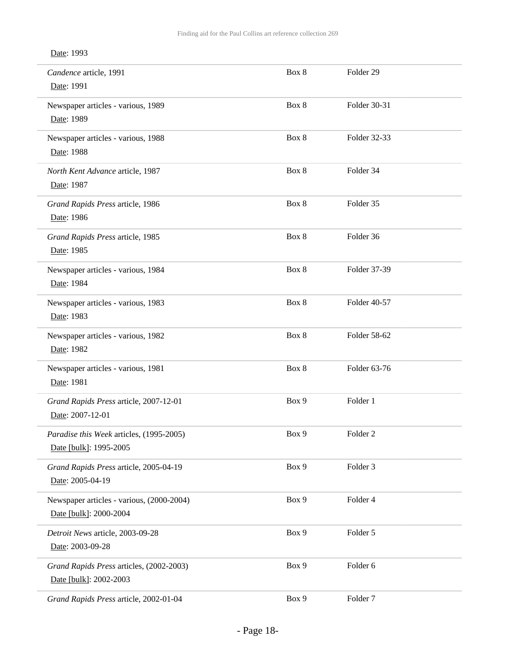| Candence article, 1991<br>Date: 1991                                | Box 8 | Folder 29           |
|---------------------------------------------------------------------|-------|---------------------|
| Newspaper articles - various, 1989<br>Date: 1989                    | Box 8 | Folder 30-31        |
| Newspaper articles - various, 1988<br>Date: 1988                    | Box 8 | Folder 32-33        |
| North Kent Advance article, 1987<br>Date: 1987                      | Box 8 | Folder 34           |
| Grand Rapids Press article, 1986<br>Date: 1986                      | Box 8 | Folder 35           |
| Grand Rapids Press article, 1985<br>Date: 1985                      | Box 8 | Folder 36           |
| Newspaper articles - various, 1984<br>Date: 1984                    | Box 8 | Folder 37-39        |
| Newspaper articles - various, 1983<br>Date: 1983                    | Box 8 | Folder 40-57        |
| Newspaper articles - various, 1982<br>Date: 1982                    | Box 8 | Folder 58-62        |
| Newspaper articles - various, 1981<br>Date: 1981                    | Box 8 | Folder 63-76        |
| Grand Rapids Press article, 2007-12-01<br>Date: 2007-12-01          | Box 9 | Folder 1            |
| Paradise this Week articles, (1995-2005)<br>Date [bulk]: 1995-2005  | Box 9 | Folder <sub>2</sub> |
| Grand Rapids Press article, 2005-04-19<br>Date: 2005-04-19          | Box 9 | Folder 3            |
| Newspaper articles - various, (2000-2004)<br>Date [bulk]: 2000-2004 | Box 9 | Folder 4            |
| Detroit News article, 2003-09-28<br>Date: 2003-09-28                | Box 9 | Folder 5            |
| Grand Rapids Press articles, (2002-2003)<br>Date [bulk]: 2002-2003  | Box 9 | Folder 6            |
| Grand Rapids Press article, 2002-01-04                              | Box 9 | Folder <sub>7</sub> |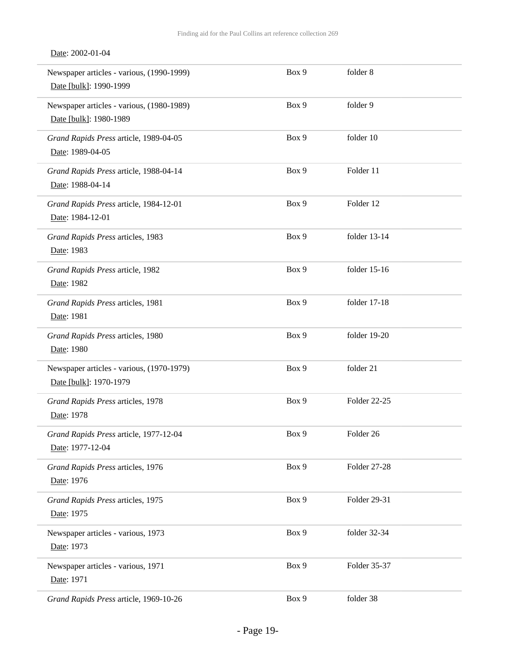#### Date: 2002-01-04

| Newspaper articles - various, (1990-1999)<br>Date [bulk]: 1990-1999 | Box 9 | folder 8             |
|---------------------------------------------------------------------|-------|----------------------|
| Newspaper articles - various, (1980-1989)<br>Date [bulk]: 1980-1989 | Box 9 | folder 9             |
| Grand Rapids Press article, 1989-04-05<br>Date: 1989-04-05          | Box 9 | folder 10            |
| Grand Rapids Press article, 1988-04-14<br>Date: 1988-04-14          | Box 9 | Folder 11            |
| Grand Rapids Press article, 1984-12-01<br>Date: 1984-12-01          | Box 9 | Folder 12            |
| Grand Rapids Press articles, 1983<br>Date: 1983                     | Box 9 | folder 13-14         |
| Grand Rapids Press article, 1982<br>Date: 1982                      | Box 9 | folder 15-16         |
| Grand Rapids Press articles, 1981<br>Date: 1981                     | Box 9 | folder 17-18         |
| Grand Rapids Press articles, 1980<br>Date: 1980                     | Box 9 | folder 19-20         |
| Newspaper articles - various, (1970-1979)<br>Date [bulk]: 1970-1979 | Box 9 | folder 21            |
| Grand Rapids Press articles, 1978<br>Date: 1978                     | Box 9 | Folder 22-25         |
| Grand Rapids Press article, 1977-12-04<br>Date: 1977-12-04          | Box 9 | Folder <sub>26</sub> |
| Grand Rapids Press articles, 1976<br>Date: 1976                     | Box 9 | Folder 27-28         |
| Grand Rapids Press articles, 1975<br>Date: 1975                     | Box 9 | Folder 29-31         |
| Newspaper articles - various, 1973<br>Date: 1973                    | Box 9 | folder 32-34         |
| Newspaper articles - various, 1971<br>Date: 1971                    | Box 9 | Folder 35-37         |
| Grand Rapids Press article, 1969-10-26                              | Box 9 | folder 38            |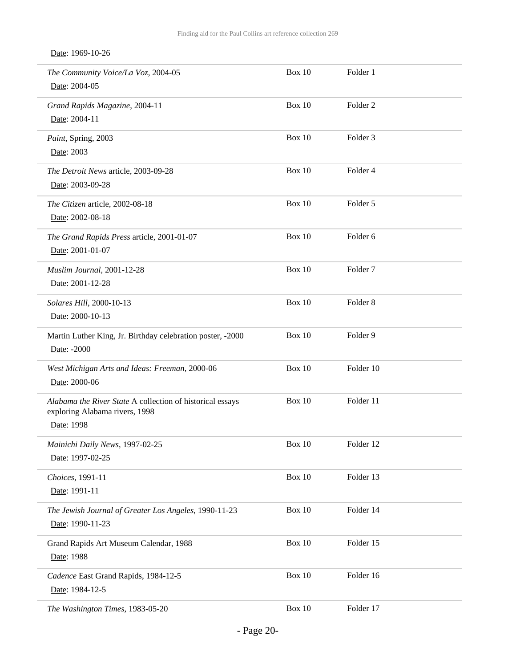Date: 1969-10-26

| The Community Voice/La Voz, 2004-05<br>Date: 2004-05                                                      | Box 10        | Folder 1            |
|-----------------------------------------------------------------------------------------------------------|---------------|---------------------|
| Grand Rapids Magazine, 2004-11<br>Date: 2004-11                                                           | <b>Box 10</b> | Folder <sub>2</sub> |
| Paint, Spring, 2003<br>Date: 2003                                                                         | Box 10        | Folder <sub>3</sub> |
| The Detroit News article, 2003-09-28<br>Date: 2003-09-28                                                  | <b>Box 10</b> | Folder 4            |
| The Citizen article, 2002-08-18<br>Date: 2002-08-18                                                       | Box 10        | Folder 5            |
| The Grand Rapids Press article, 2001-01-07<br>Date: 2001-01-07                                            | <b>Box 10</b> | Folder 6            |
| Muslim Journal, 2001-12-28<br>Date: 2001-12-28                                                            | Box 10        | Folder <sub>7</sub> |
| Solares Hill, 2000-10-13<br>Date: 2000-10-13                                                              | Box 10        | Folder <sub>8</sub> |
| Martin Luther King, Jr. Birthday celebration poster, -2000<br>Date: -2000                                 | Box 10        | Folder 9            |
| West Michigan Arts and Ideas: Freeman, 2000-06<br>Date: 2000-06                                           | Box 10        | Folder 10           |
| Alabama the River State A collection of historical essays<br>exploring Alabama rivers, 1998<br>Date: 1998 | Box 10        | Folder 11           |
| Mainichi Daily News, 1997-02-25<br>Date: 1997-02-25                                                       | <b>Box 10</b> | Folder 12           |
| Choices, 1991-11<br>Date: 1991-11                                                                         | Box $10$      | Folder 13           |
| The Jewish Journal of Greater Los Angeles, 1990-11-23<br>Date: 1990-11-23                                 | Box $10$      | Folder 14           |
| Grand Rapids Art Museum Calendar, 1988<br>Date: 1988                                                      | <b>Box 10</b> | Folder 15           |
| Cadence East Grand Rapids, 1984-12-5<br>Date: 1984-12-5                                                   | <b>Box 10</b> | Folder 16           |
| The Washington Times, 1983-05-20                                                                          | Box $10\,$    | Folder 17           |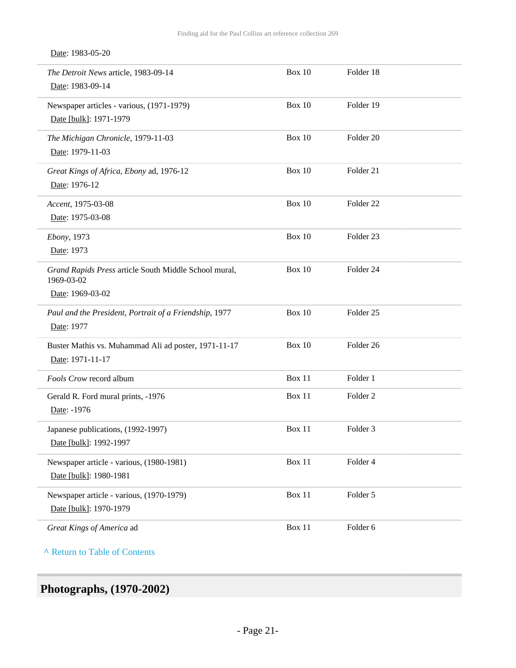#### Date: 1983-05-20

| The Detroit News article, 1983-09-14                                | Box 10        | Folder 18            |  |
|---------------------------------------------------------------------|---------------|----------------------|--|
| Date: 1983-09-14                                                    |               |                      |  |
| Newspaper articles - various, (1971-1979)                           | <b>Box 10</b> | Folder 19            |  |
| Date [bulk]: 1971-1979                                              |               |                      |  |
| The Michigan Chronicle, 1979-11-03                                  | Box 10        | Folder 20            |  |
| Date: 1979-11-03                                                    |               |                      |  |
| Great Kings of Africa, Ebony ad, 1976-12                            | <b>Box 10</b> | Folder 21            |  |
| Date: 1976-12                                                       |               |                      |  |
| Accent, 1975-03-08                                                  | Box 10        | Folder <sub>22</sub> |  |
| Date: 1975-03-08                                                    |               |                      |  |
| Ebony, 1973                                                         | Box 10        | Folder <sub>23</sub> |  |
| Date: 1973                                                          |               |                      |  |
| Grand Rapids Press article South Middle School mural,<br>1969-03-02 | Box 10        | Folder 24            |  |
| Date: 1969-03-02                                                    |               |                      |  |
| Paul and the President, Portrait of a Friendship, 1977              | <b>Box 10</b> | Folder <sub>25</sub> |  |
| Date: 1977                                                          |               |                      |  |
| Buster Mathis vs. Muhammad Ali ad poster, 1971-11-17                | Box 10        | Folder <sub>26</sub> |  |
| Date: 1971-11-17                                                    |               |                      |  |
| Fools Crow record album                                             | Box 11        | Folder 1             |  |
| Gerald R. Ford mural prints, -1976                                  | Box 11        | Folder <sub>2</sub>  |  |
| Date: -1976                                                         |               |                      |  |
| Japanese publications, (1992-1997)                                  | Box 11        | Folder <sub>3</sub>  |  |
| Date [bulk]: 1992-1997                                              |               |                      |  |
| Newspaper article - various, (1980-1981)                            | Box 11        | Folder 4             |  |
| Date [bulk]: 1980-1981                                              |               |                      |  |
| Newspaper article - various, (1970-1979)                            | Box 11        | Folder 5             |  |
| Date [bulk]: 1970-1979                                              |               |                      |  |
|                                                                     |               |                      |  |

**^** [Return to Table of Contents](#page-1-0)

# <span id="page-20-0"></span>**Photographs, (1970-2002)**